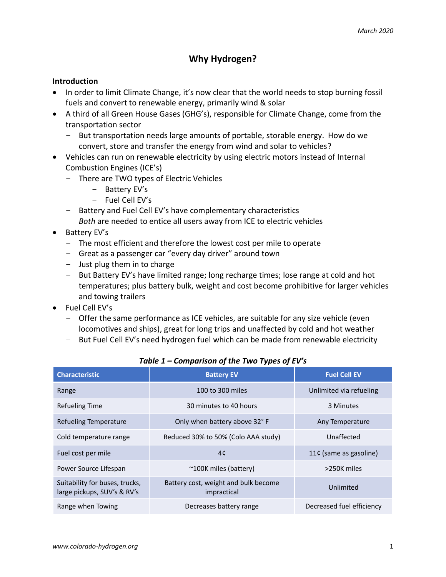# **Why Hydrogen?**

#### **Introduction**

- In order to limit Climate Change, it's now clear that the world needs to stop burning fossil fuels and convert to renewable energy, primarily wind & solar
- A third of all Green House Gases (GHG's), responsible for Climate Change, come from the transportation sector
	- But transportation needs large amounts of portable, storable energy. How do we convert, store and transfer the energy from wind and solar to vehicles?
- Vehicles can run on renewable electricity by using electric motors instead of Internal Combustion Engines (ICE's)
	- There are TWO types of Electric Vehicles
		- Battery EV's
		- Fuel Cell EV's
	- Battery and Fuel Cell EV's have complementary characteristics
		- *Both* are needed to entice all users away from ICE to electric vehicles
- Battery EV's
	- The most efficient and therefore the lowest cost per mile to operate
	- Great as a passenger car "every day driver" around town
	- Just plug them in to charge
	- But Battery EV's have limited range; long recharge times; lose range at cold and hot temperatures; plus battery bulk, weight and cost become prohibitive for larger vehicles and towing trailers
- Fuel Cell EV's
	- Offer the same performance as ICE vehicles, are suitable for any size vehicle (even locomotives and ships), great for long trips and unaffected by cold and hot weather
	- But Fuel Cell EV's need hydrogen fuel which can be made from renewable electricity

| <b>Characteristic</b>                                         | <b>Battery EV</b>                                   | <b>Fuel Cell EV</b>       |
|---------------------------------------------------------------|-----------------------------------------------------|---------------------------|
| Range                                                         | 100 to 300 miles                                    | Unlimited via refueling   |
| <b>Refueling Time</b>                                         | 30 minutes to 40 hours                              | 3 Minutes                 |
| Refueling Temperature                                         | Only when battery above 32°F                        | Any Temperature           |
| Cold temperature range                                        | Reduced 30% to 50% (Colo AAA study)                 | Unaffected                |
| Fuel cost per mile                                            | 4c                                                  | 11¢ (same as gasoline)    |
| Power Source Lifespan                                         | $~\sim$ 100K miles (battery)                        | >250K miles               |
| Suitability for buses, trucks,<br>large pickups, SUV's & RV's | Battery cost, weight and bulk become<br>impractical | Unlimited                 |
| Range when Towing                                             | Decreases battery range                             | Decreased fuel efficiency |

## *Table 1 – Comparison of the Two Types of EV's*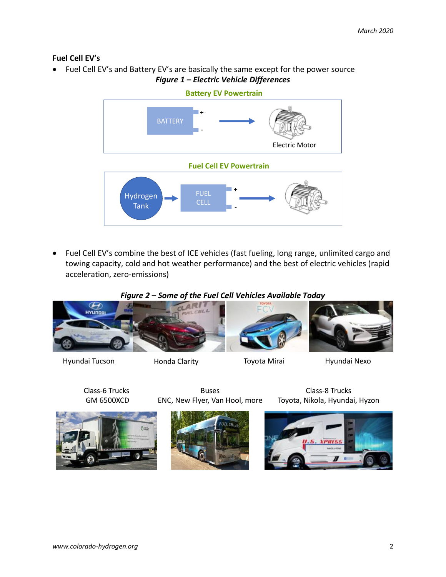# **Fuel Cell EV's**

• Fuel Cell EV's and Battery EV's are basically the same except for the power source *Figure 1 – Electric Vehicle Differences*



• Fuel Cell EV's combine the best of ICE vehicles (fast fueling, long range, unlimited cargo and towing capacity, cold and hot weather performance) and the best of electric vehicles (rapid acceleration, zero-emissions)

# *Figure 2 – Some of the Fuel Cell Vehicles Available Today*



Hyundai Tucson Honda Clarity Toyota Mirai Hyundai Nexo

Class-6 Trucks GM 6500XCD





Buses ENC, New Flyer, Van Hool, more



Class-8 Trucks Toyota, Nikola, Hyundai, Hyzon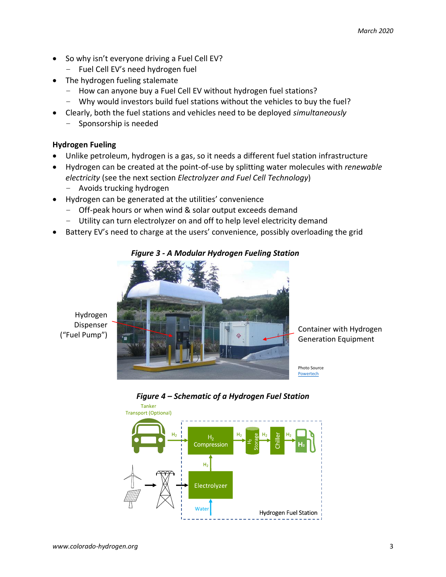- So why isn't everyone driving a Fuel Cell EV?
	- Fuel Cell EV's need hydrogen fuel
- The hydrogen fueling stalemate
	- How can anyone buy a Fuel Cell EV without hydrogen fuel stations?
	- Why would investors build fuel stations without the vehicles to buy the fuel?
- Clearly, both the fuel stations and vehicles need to be deployed *simultaneously*
	- Sponsorship is needed

## **Hydrogen Fueling**

- Unlike petroleum, hydrogen is a gas, so it needs a different fuel station infrastructure
- Hydrogen can be created at the point-of-use by splitting water molecules with *renewable electricity* (see the next section *Electrolyzer and Fuel Cell Technology*)
	- Avoids trucking hydrogen
- Hydrogen can be generated at the utilities' convenience
	- Off-peak hours or when wind & solar output exceeds demand
	- Utility can turn electrolyzer on and off to help level electricity demand
- Battery EV's need to charge at the users' convenience, possibly overloading the grid



## *Figure 3 - A Modular Hydrogen Fueling Station*

Hydrogen Dispenser ("Fuel Pump")

Container with Hydrogen Generation Equipment

Photo Source Powertech



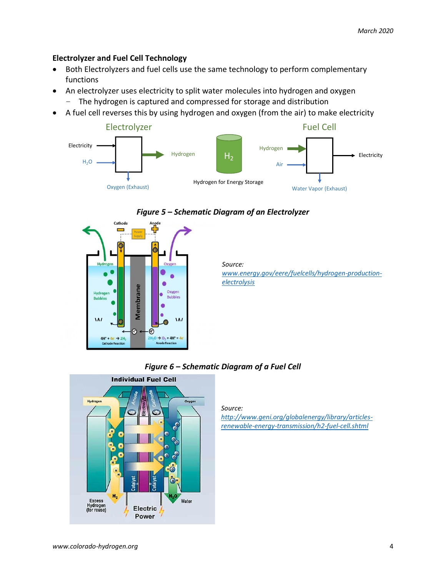## **Electrolyzer and Fuel Cell Technology**

- Both Electrolyzers and fuel cells use the same technology to perform complementary functions
- An electrolyzer uses electricity to split water molecules into hydrogen and oxygen
	- The hydrogen is captured and compressed for storage and distribution
- A fuel cell reverses this by using hydrogen and oxygen (from the air) to make electricity





## *Figure 5 – Schematic Diagram of an Electrolyzer*

*Source: [www.energy.gov/eere/fuelcells/hydrogen-production](http://www.energy.gov/eere/fuelcells/hydrogen-production-electrolysis)[electrolysis](http://www.energy.gov/eere/fuelcells/hydrogen-production-electrolysis)*

*Figure 6 – Schematic Diagram of a Fuel Cell*



*Source:* 

*[http://www.geni.org/globalenergy/library/articles](http://www.geni.org/globalenergy/library/articles-renewable-energy-transmission/h2-fuel-cell.shtml)[renewable-energy-transmission/h2-fuel-cell.shtml](http://www.geni.org/globalenergy/library/articles-renewable-energy-transmission/h2-fuel-cell.shtml)*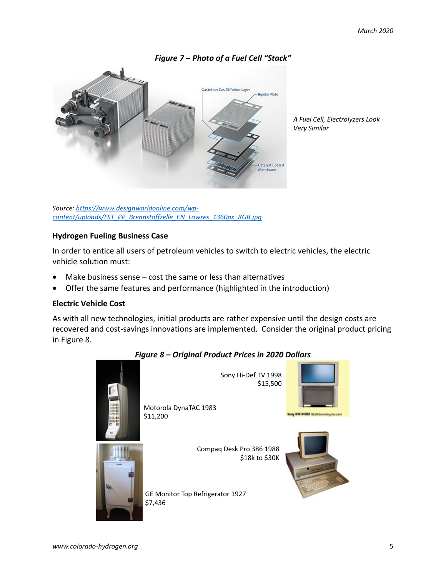

*Figure 7 – Photo of a Fuel Cell "Stack"*

*A Fuel Cell, Electrolyzers Look Very Similar*

*Source[: https://www.designworldonline.com/wp](https://www.designworldonline.com/wp-content/uploads/FST_PP_Brennstoffzelle_EN_Lowres_1360px_RGB.jpg)[content/uploads/FST\\_PP\\_Brennstoffzelle\\_EN\\_Lowres\\_1360px\\_RGB.jpg](https://www.designworldonline.com/wp-content/uploads/FST_PP_Brennstoffzelle_EN_Lowres_1360px_RGB.jpg)*

## **Hydrogen Fueling Business Case**

In order to entice all users of petroleum vehicles to switch to electric vehicles, the electric vehicle solution must:

- Make business sense  $-$  cost the same or less than alternatives
- Offer the same features and performance (highlighted in the introduction)

# **Electric Vehicle Cost**

As with all new technologies, initial products are rather expensive until the design costs are recovered and cost-savings innovations are implemented. Consider the original product pricing in Figure 8.

## *Figure 8 – Original Product Prices in 2020 Dollars*



Sony Hi-Def TV 1998 \$15,500

Compaq Desk Pro 386 1988

\$18k to \$30K

Motorola DynaTAC 1983 \$11,200





GE Monitor Top Refrigerator 1927 \$7,436

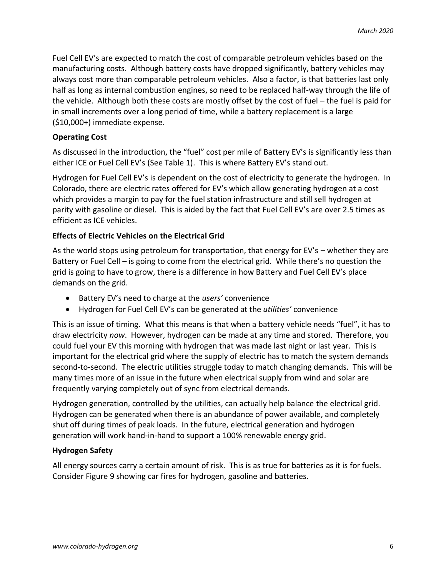Fuel Cell EV's are expected to match the cost of comparable petroleum vehicles based on the manufacturing costs. Although battery costs have dropped significantly, battery vehicles may always cost more than comparable petroleum vehicles. Also a factor, is that batteries last only half as long as internal combustion engines, so need to be replaced half-way through the life of the vehicle. Although both these costs are mostly offset by the cost of fuel – the fuel is paid for in small increments over a long period of time, while a battery replacement is a large (\$10,000+) immediate expense.

## **Operating Cost**

As discussed in the introduction, the "fuel" cost per mile of Battery EV's is significantly less than either ICE or Fuel Cell EV's (See Table 1). This is where Battery EV's stand out.

Hydrogen for Fuel Cell EV's is dependent on the cost of electricity to generate the hydrogen. In Colorado, there are electric rates offered for EV's which allow generating hydrogen at a cost which provides a margin to pay for the fuel station infrastructure and still sell hydrogen at parity with gasoline or diesel. This is aided by the fact that Fuel Cell EV's are over 2.5 times as efficient as ICE vehicles.

## **Effects of Electric Vehicles on the Electrical Grid**

As the world stops using petroleum for transportation, that energy for EV's – whether they are Battery or Fuel Cell – is going to come from the electrical grid. While there's no question the grid is going to have to grow, there is a difference in how Battery and Fuel Cell EV's place demands on the grid.

- Battery EV's need to charge at the *users'* convenience
- Hydrogen for Fuel Cell EV's can be generated at the *utilities'* convenience

This is an issue of timing. What this means is that when a battery vehicle needs "fuel", it has to draw electricity *now*. However, hydrogen can be made at any time and stored. Therefore, you could fuel your EV this morning with hydrogen that was made last night or last year. This is important for the electrical grid where the supply of electric has to match the system demands second-to-second. The electric utilities struggle today to match changing demands. This will be many times more of an issue in the future when electrical supply from wind and solar are frequently varying completely out of sync from electrical demands.

Hydrogen generation, controlled by the utilities, can actually help balance the electrical grid. Hydrogen can be generated when there is an abundance of power available, and completely shut off during times of peak loads. In the future, electrical generation and hydrogen generation will work hand-in-hand to support a 100% renewable energy grid.

## **Hydrogen Safety**

All energy sources carry a certain amount of risk. This is as true for batteries as it is for fuels. Consider Figure 9 showing car fires for hydrogen, gasoline and batteries.